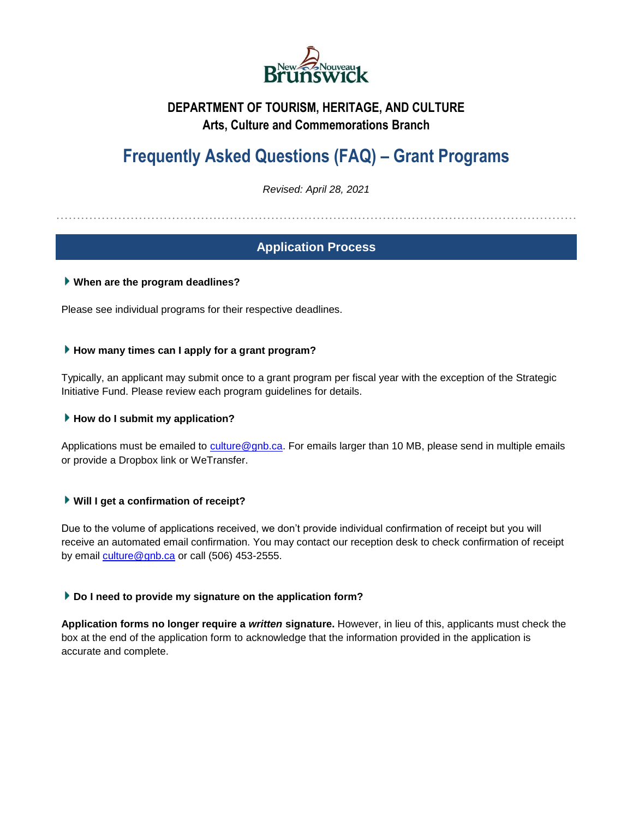

# **DEPARTMENT OF TOURISM, HERITAGE, AND CULTURE Arts, Culture and Commemorations Branch**

# **Frequently Asked Questions (FAQ) – Grant Programs**

*Revised: April 28, 2021*

………………………………………………………………………………………………………………

# **Application Process**

# **When are the program deadlines?**

Please see individual programs for their respective deadlines.

### **How many times can I apply for a grant program?**

Typically, an applicant may submit once to a grant program per fiscal year with the exception of the Strategic Initiative Fund. Please review each program guidelines for details.

# ▶ How do I submit my application?

Applications must be emailed to [culture@gnb.ca.](mailto:culture@gnb.ca) For emails larger than 10 MB, please send in multiple emails or provide a Dropbox link or WeTransfer.

# **Will I get a confirmation of receipt?**

Due to the volume of applications received, we don't provide individual confirmation of receipt but you will receive an automated email confirmation. You may contact our reception desk to check confirmation of receipt by email [culture@gnb.ca](mailto:culture@gnb.ca) or call (506) 453-2555.

# **Do I need to provide my signature on the application form?**

**Application forms no longer require a** *written* **signature.** However, in lieu of this, applicants must check the box at the end of the application form to acknowledge that the information provided in the application is accurate and complete.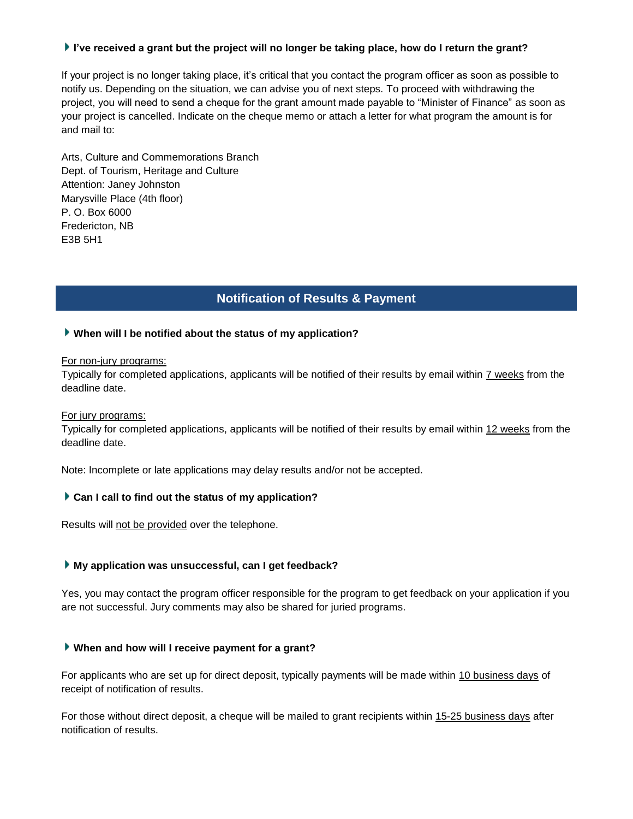### **I've received a grant but the project will no longer be taking place, how do I return the grant?**

If your project is no longer taking place, it's critical that you contact the program officer as soon as possible to notify us. Depending on the situation, we can advise you of next steps. To proceed with withdrawing the project, you will need to send a cheque for the grant amount made payable to "Minister of Finance" as soon as your project is cancelled. Indicate on the cheque memo or attach a letter for what program the amount is for and mail to:

Arts, Culture and Commemorations Branch Dept. of Tourism, Heritage and Culture Attention: Janey Johnston Marysville Place (4th floor) P. O. Box 6000 Fredericton, NB E3B 5H1

# **Notification of Results & Payment**

### **When will I be notified about the status of my application?**

#### For non-jury programs:

Typically for completed applications, applicants will be notified of their results by email within 7 weeks from the deadline date.

#### For jury programs:

Typically for completed applications, applicants will be notified of their results by email within 12 weeks from the deadline date.

Note: Incomplete or late applications may delay results and/or not be accepted.

#### **Can I call to find out the status of my application?**

Results will not be provided over the telephone.

### **My application was unsuccessful, can I get feedback?**

Yes, you may contact the program officer responsible for the program to get feedback on your application if you are not successful. Jury comments may also be shared for juried programs.

# **When and how will I receive payment for a grant?**

For applicants who are set up for direct deposit, typically payments will be made within 10 business days of receipt of notification of results.

For those without direct deposit, a cheque will be mailed to grant recipients within 15-25 business days after notification of results.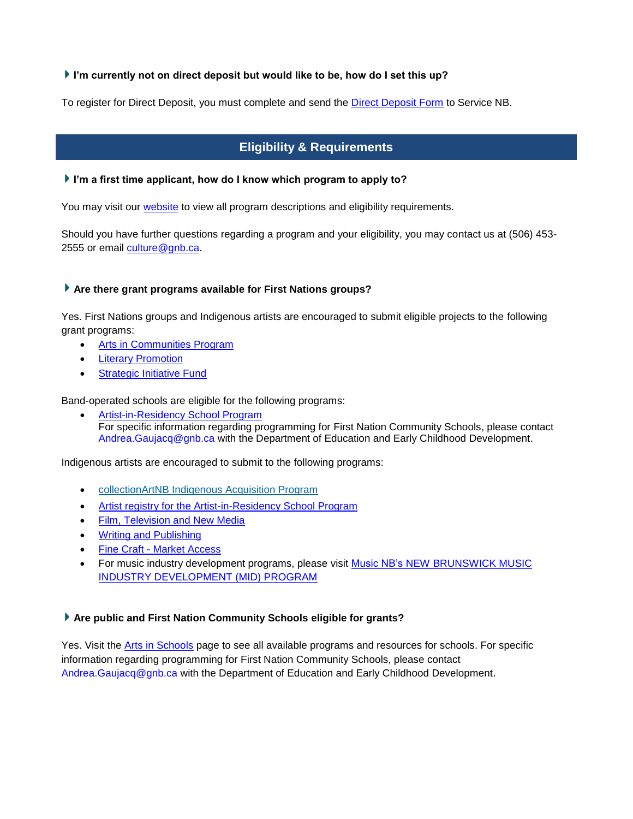# **I'm currently not on direct deposit but would like to be, how do I set this up?**

To register for Direct Deposit, you must complete and send the **Direct Deposit Form to Service NB.** 

# **Eligibility & Requirements**

### **I'm a first time applicant, how do I know which program to apply to?**

You may visit our [website](http://www2.gnb.ca/content/gnb/en/departments/thc/culture.html) to view all program descriptions and eligibility requirements.

Should you have further questions regarding a program and your eligibility, you may contact us at (506) 453 2555 or email [culture@gnb.ca.](mailto:culture@gnb.ca)

# **Are there grant programs available for First Nations groups?**

Yes. First Nations groups and Indigenous artists are encouraged to submit eligible projects to the following grant programs:

- [Arts in Communities Program](http://www2.gnb.ca/content/gnb/en/departments/thc/services/services_renderer.201424.Arts_in_Communities_Program_(AIC).html)
- [Literary Promotion](http://www2.gnb.ca/content/gnb/en/services/services_renderer.201071.html)
- [Strategic Initiative Fund](http://www2.gnb.ca/content/gnb/en/services/services_renderer.201068.html)

Band-operated schools are eligible for the following programs:

• [Artist-in-Residency School Program](http://www2.gnb.ca/content/gnb/en/services/services_renderer.201088.html) For specific information regarding programming for First Nation Community Schools, please contact [Andrea.Gaujacq@gnb.ca](mailto:Andrea.Gaujacq@gnb.ca) with the Department of Education and Early Childhood Development.

Indigenous artists are encouraged to submit to the following programs:

- [collectionArtNB Indigenous Acquisition Program](https://www2.gnb.ca/content/gnb/en/departments/thc/services/services_renderer.201501.collectionArtNB_-_Indigenous_Acquisition_Program.html)
- [Artist registry for the Artist-in-Residency School Program](http://www2.gnb.ca/content/gnb/en/services/services_renderer.201088.html)
- [Film, Television and New Media](http://www2.gnb.ca/content/gnb/en/departments/thc/culture/content/FilmTelevisionandNewMedia.html)
- [Writing and Publishing](http://www2.gnb.ca/content/gnb/en/departments/thc/culture/content/WritingandPublishing.html)
- Fine Craft [Market Access](http://www2.gnb.ca/content/gnb/en/departments/thc/services/services_renderer.201392.Fine_Craft_-_Market_Access_Component.html)
- For music industry development programs, please visit Music NB's NEW BRUNSWICK MUSIC [INDUSTRY DEVELOPMENT \(MID\) PROGRAM](https://www.musicnb.org/en/programs/mid/overview)

# **Are public and First Nation Community Schools eligible for grants?**

Yes. Visit the [Arts in Schools](http://www2.gnb.ca/content/gnb/en/departments/thc/culture/content/arts-in-schools.html) page to see all available programs and resources for schools. For specific information regarding programming for First Nation Community Schools, please contact [Andrea.Gaujacq@gnb.ca](mailto:Andrea.Gaujacq@gnb.ca) with the Department of Education and Early Childhood Development.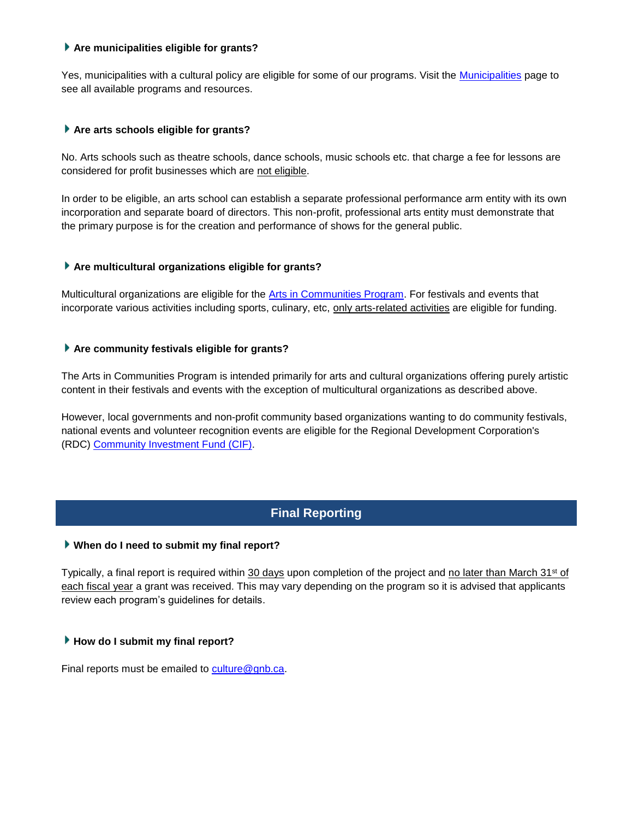### **Are municipalities eligible for grants?**

Yes, municipalities with a cultural policy are eligible for some of our programs. Visit the [Municipalities](http://www2.gnb.ca/content/gnb/en/departments/thc/culture/content/Municipalities.html) page to see all available programs and resources.

#### **Are arts schools eligible for grants?**

No. Arts schools such as theatre schools, dance schools, music schools etc. that charge a fee for lessons are considered for profit businesses which are not eligible.

In order to be eligible, an arts school can establish a separate professional performance arm entity with its own incorporation and separate board of directors. This non-profit, professional arts entity must demonstrate that the primary purpose is for the creation and performance of shows for the general public.

### **Are multicultural organizations eligible for grants?**

Multicultural organizations are eligible for the [Arts in Communities Program.](http://www2.gnb.ca/content/gnb/en/departments/thc/services/services_renderer.201424.Arts_in_Communities_Program_(AIC).html) For festivals and events that incorporate various activities including sports, culinary, etc, only arts-related activities are eligible for funding.

### **Are community festivals eligible for grants?**

The Arts in Communities Program is intended primarily for arts and cultural organizations offering purely artistic content in their festivals and events with the exception of multicultural organizations as described above.

However, local governments and non-profit community based organizations wanting to do community festivals, national events and volunteer recognition events are eligible for the Regional Development Corporation's (RDC) [Community Investment Fund \(CIF\).](https://www2.gnb.ca/content/gnb/en/departments/regional_development/services/services_renderer.201492.Community_Investment_Fund_(CIF)_.html)

# **Final Reporting**

# **When do I need to submit my final report?**

Typically, a final report is required within 30 days upon completion of the project and no later than March 31<sup>st</sup> of each fiscal year a grant was received. This may vary depending on the program so it is advised that applicants review each program's guidelines for details.

# **How do I submit my final report?**

Final reports must be emailed to [culture@gnb.ca.](mailto:culture@gnb.ca)